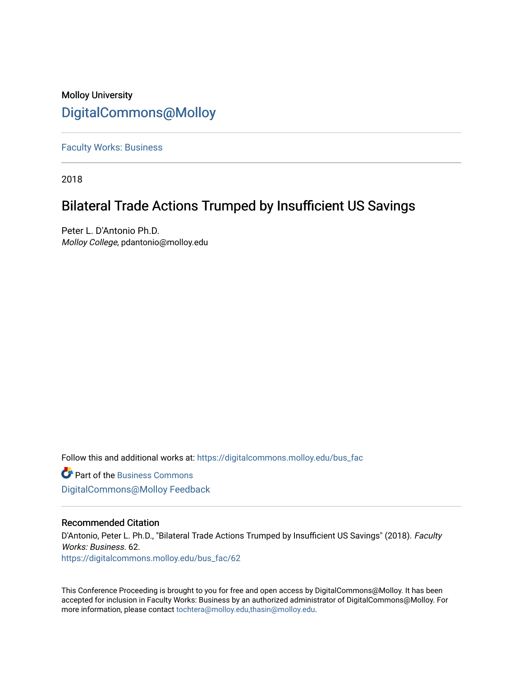# Molloy University [DigitalCommons@Molloy](https://digitalcommons.molloy.edu/)

[Faculty Works: Business](https://digitalcommons.molloy.edu/bus_fac) 

2018

# Bilateral Trade Actions Trumped by Insufficient US Savings

Peter L. D'Antonio Ph.D. Molloy College, pdantonio@molloy.edu

Follow this and additional works at: [https://digitalcommons.molloy.edu/bus\\_fac](https://digitalcommons.molloy.edu/bus_fac?utm_source=digitalcommons.molloy.edu%2Fbus_fac%2F62&utm_medium=PDF&utm_campaign=PDFCoverPages)

**C** Part of the [Business Commons](https://network.bepress.com/hgg/discipline/622?utm_source=digitalcommons.molloy.edu%2Fbus_fac%2F62&utm_medium=PDF&utm_campaign=PDFCoverPages) [DigitalCommons@Molloy Feedback](https://molloy.libwizard.com/f/dcfeedback)

# Recommended Citation

D'Antonio, Peter L. Ph.D., "Bilateral Trade Actions Trumped by Insufficient US Savings" (2018). Faculty Works: Business. 62. [https://digitalcommons.molloy.edu/bus\\_fac/62](https://digitalcommons.molloy.edu/bus_fac/62?utm_source=digitalcommons.molloy.edu%2Fbus_fac%2F62&utm_medium=PDF&utm_campaign=PDFCoverPages) 

This Conference Proceeding is brought to you for free and open access by DigitalCommons@Molloy. It has been accepted for inclusion in Faculty Works: Business by an authorized administrator of DigitalCommons@Molloy. For more information, please contact [tochtera@molloy.edu,thasin@molloy.edu.](mailto:tochtera@molloy.edu,thasin@molloy.edu)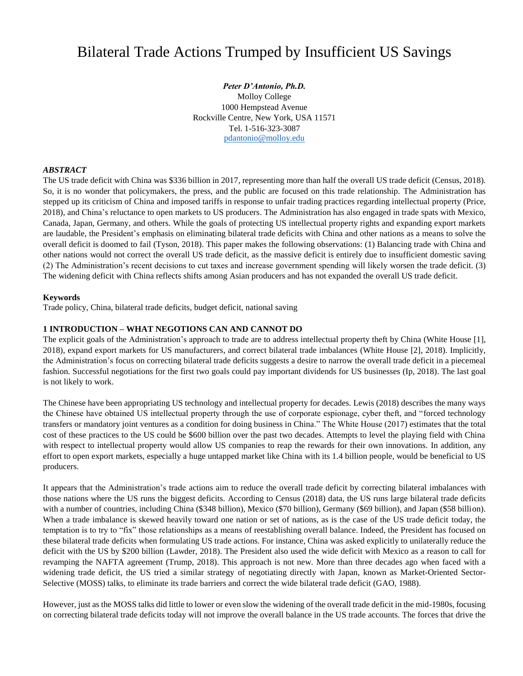# Bilateral Trade Actions Trumped by Insufficient US Savings

*Peter D'Antonio, Ph.D.* Molloy College 1000 Hempstead Avenue Rockville Centre, New York, USA 11571 Tel. 1-516-323-3087 [pdantonio@molloy.edu](mailto:pdantonio@molloy.edu)

# *ABSTRACT*

The US trade deficit with China was \$336 billion in 2017, representing more than half the overall US trade deficit (Census, 2018). So, it is no wonder that policymakers, the press, and the public are focused on this trade relationship. The Administration has stepped up its criticism of China and imposed tariffs in response to unfair trading practices regarding intellectual property (Price, 2018), and China's reluctance to open markets to US producers. The Administration has also engaged in trade spats with Mexico, Canada, Japan, Germany, and others. While the goals of protecting US intellectual property rights and expanding export markets are laudable, the President's emphasis on eliminating bilateral trade deficits with China and other nations as a means to solve the overall deficit is doomed to fail (Tyson, 2018). This paper makes the following observations: (1) Balancing trade with China and other nations would not correct the overall US trade deficit, as the massive deficit is entirely due to insufficient domestic saving (2) The Administration's recent decisions to cut taxes and increase government spending will likely worsen the trade deficit. (3) The widening deficit with China reflects shifts among Asian producers and has not expanded the overall US trade deficit.

#### **Keywords**

Trade policy, China, bilateral trade deficits, budget deficit, national saving

#### **1 INTRODUCTION – WHAT NEGOTIONS CAN AND CANNOT DO**

The explicit goals of the Administration's approach to trade are to address intellectual property theft by China (White House [1], 2018), expand export markets for US manufacturers, and correct bilateral trade imbalances (White House [2], 2018). Implicitly, the Administration's focus on correcting bilateral trade deficits suggests a desire to narrow the overall trade deficit in a piecemeal fashion. Successful negotiations for the first two goals could pay important dividends for US businesses (Ip, 2018). The last goal is not likely to work.

The Chinese have been appropriating US technology and intellectual property for decades. Lewis (2018) describes the many ways the Chinese have obtained US intellectual property through the use of corporate espionage, cyber theft, and "forced technology transfers or mandatory joint ventures as a condition for doing business in China." The White House (2017) estimates that the total cost of these practices to the US could be \$600 billion over the past two decades. Attempts to level the playing field with China with respect to intellectual property would allow US companies to reap the rewards for their own innovations. In addition, any effort to open export markets, especially a huge untapped market like China with its 1.4 billion people, would be beneficial to US producers.

It appears that the Administration's trade actions aim to reduce the overall trade deficit by correcting bilateral imbalances with those nations where the US runs the biggest deficits. According to Census (2018) data, the US runs large bilateral trade deficits with a number of countries, including China (\$348 billion), Mexico (\$70 billion), Germany (\$69 billion), and Japan (\$58 billion). When a trade imbalance is skewed heavily toward one nation or set of nations, as is the case of the US trade deficit today, the temptation is to try to "fix" those relationships as a means of reestablishing overall balance. Indeed, the President has focused on these bilateral trade deficits when formulating US trade actions. For instance, China was asked explicitly to unilaterally reduce the deficit with the US by \$200 billion (Lawder, 2018). The President also used the wide deficit with Mexico as a reason to call for revamping the NAFTA agreement (Trump, 2018). This approach is not new. More than three decades ago when faced with a widening trade deficit, the US tried a similar strategy of negotiating directly with Japan, known as Market-Oriented Sector-Selective (MOSS) talks, to eliminate its trade barriers and correct the wide bilateral trade deficit (GAO, 1988).

However, just as the MOSS talks did little to lower or even slow the widening of the overall trade deficit in the mid-1980s, focusing on correcting bilateral trade deficits today will not improve the overall balance in the US trade accounts. The forces that drive the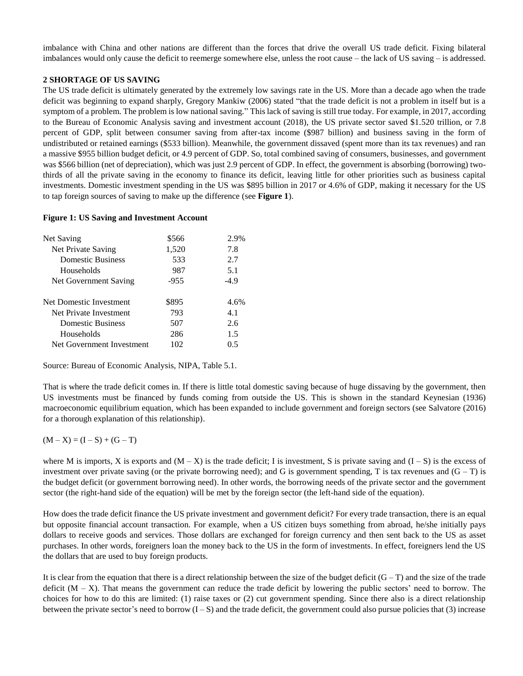imbalance with China and other nations are different than the forces that drive the overall US trade deficit. Fixing bilateral imbalances would only cause the deficit to reemerge somewhere else, unless the root cause – the lack of US saving – is addressed.

## **2 SHORTAGE OF US SAVING**

The US trade deficit is ultimately generated by the extremely low savings rate in the US. More than a decade ago when the trade deficit was beginning to expand sharply, Gregory Mankiw (2006) stated "that the trade deficit is not a problem in itself but is a symptom of a problem. The problem is low national saving." This lack of saving is still true today. For example, in 2017, according to the Bureau of Economic Analysis saving and investment account (2018), the US private sector saved \$1.520 trillion, or 7.8 percent of GDP, split between consumer saving from after-tax income (\$987 billion) and business saving in the form of undistributed or retained earnings (\$533 billion). Meanwhile, the government dissaved (spent more than its tax revenues) and ran a massive \$955 billion budget deficit, or 4.9 percent of GDP. So, total combined saving of consumers, businesses, and government was \$566 billion (net of depreciation), which was just 2.9 percent of GDP. In effect, the government is absorbing (borrowing) twothirds of all the private saving in the economy to finance its deficit, leaving little for other priorities such as business capital investments. Domestic investment spending in the US was \$895 billion in 2017 or 4.6% of GDP, making it necessary for the US to tap foreign sources of saving to make up the difference (see **Figure 1**).

#### **Figure 1: US Saving and Investment Account**

| Net Saving                | \$566  | 2.9%   |
|---------------------------|--------|--------|
|                           |        |        |
| Net Private Saving        | 1,520  | 7.8    |
| Domestic Business         | 533    | 2.7    |
| Households                | 987    | 5.1    |
| Net Government Saving     | $-955$ | $-4.9$ |
| Net Domestic Investment   | \$895  | 4.6%   |
| Net Private Investment    | 793    | 4.1    |
| Domestic Business         | 507    | 2.6    |
| Households                | 286    | 1.5    |
| Net Government Investment | 102    | () 5   |
|                           |        |        |

Source: Bureau of Economic Analysis, NIPA, Table 5.1.

That is where the trade deficit comes in. If there is little total domestic saving because of huge dissaving by the government, then US investments must be financed by funds coming from outside the US. This is shown in the standard Keynesian (1936) macroeconomic equilibrium equation, which has been expanded to include government and foreign sectors (see Salvatore (2016) for a thorough explanation of this relationship).

## $(M - X) = (I - S) + (G - T)$

where M is imports, X is exports and  $(M - X)$  is the trade deficit; I is investment, S is private saving and  $(I - S)$  is the excess of investment over private saving (or the private borrowing need); and G is government spending, T is tax revenues and  $(G - T)$  is the budget deficit (or government borrowing need). In other words, the borrowing needs of the private sector and the government sector (the right-hand side of the equation) will be met by the foreign sector (the left-hand side of the equation).

How does the trade deficit finance the US private investment and government deficit? For every trade transaction, there is an equal but opposite financial account transaction. For example, when a US citizen buys something from abroad, he/she initially pays dollars to receive goods and services. Those dollars are exchanged for foreign currency and then sent back to the US as asset purchases. In other words, foreigners loan the money back to the US in the form of investments. In effect, foreigners lend the US the dollars that are used to buy foreign products.

It is clear from the equation that there is a direct relationship between the size of the budget deficit  $(G-T)$  and the size of the trade deficit  $(M - X)$ . That means the government can reduce the trade deficit by lowering the public sectors' need to borrow. The choices for how to do this are limited: (1) raise taxes or (2) cut government spending. Since there also is a direct relationship between the private sector's need to borrow  $(I - S)$  and the trade deficit, the government could also pursue policies that (3) increase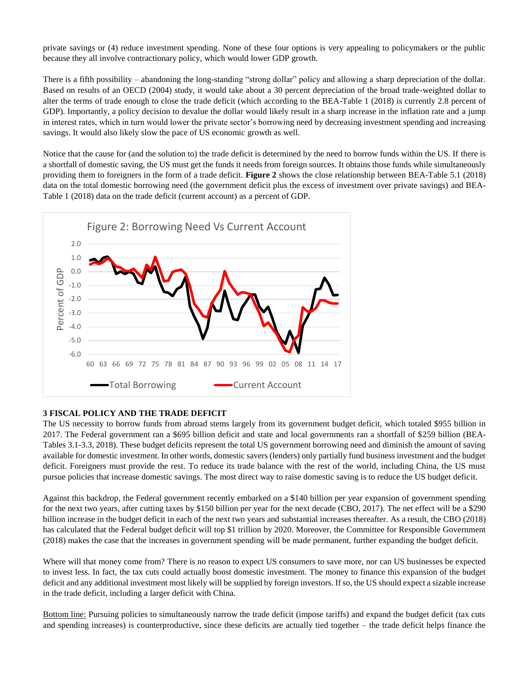private savings or (4) reduce investment spending. None of these four options is very appealing to policymakers or the public because they all involve contractionary policy, which would lower GDP growth.

There is a fifth possibility – abandoning the long-standing "strong dollar" policy and allowing a sharp depreciation of the dollar. Based on results of an OECD (2004) study, it would take about a 30 percent depreciation of the broad trade-weighted dollar to alter the terms of trade enough to close the trade deficit (which according to the BEA-Table 1 (2018) is currently 2.8 percent of GDP). Importantly, a policy decision to devalue the dollar would likely result in a sharp increase in the inflation rate and a jump in interest rates, which in turn would lower the private sector's borrowing need by decreasing investment spending and increasing savings. It would also likely slow the pace of US economic growth as well.

Notice that the cause for (and the solution to) the trade deficit is determined by the need to borrow funds within the US. If there is a shortfall of domestic saving, the US must get the funds it needs from foreign sources. It obtains those funds while simultaneously providing them to foreigners in the form of a trade deficit. **Figure 2** shows the close relationship between BEA-Table 5.1 (2018) data on the total domestic borrowing need (the government deficit plus the excess of investment over private savings) and BEA-Table 1 (2018) data on the trade deficit (current account) as a percent of GDP.



## **3 FISCAL POLICY AND THE TRADE DEFICIT**

The US necessity to borrow funds from abroad stems largely from its government budget deficit, which totaled \$955 billion in 2017. The Federal government ran a \$695 billion deficit and state and local governments ran a shortfall of \$259 billion (BEA-Tables 3.1-3.3, 2018). These budget deficits represent the total US government borrowing need and diminish the amount of saving available for domestic investment. In other words, domestic savers (lenders) only partially fund business investment and the budget deficit. Foreigners must provide the rest. To reduce its trade balance with the rest of the world, including China, the US must pursue policies that increase domestic savings. The most direct way to raise domestic saving is to reduce the US budget deficit.

Against this backdrop, the Federal government recently embarked on a \$140 billion per year expansion of government spending for the next two years, after cutting taxes by \$150 billion per year for the next decade (CBO, 2017). The net effect will be a \$290 billion increase in the budget deficit in each of the next two years and substantial increases thereafter. As a result, the CBO (2018) has calculated that the Federal budget deficit will top \$1 trillion by 2020. Moreover, the Committee for Responsible Government (2018) makes the case that the increases in government spending will be made permanent, further expanding the budget deficit.

Where will that money come from? There is no reason to expect US consumers to save more, nor can US businesses be expected to invest less. In fact, the tax cuts could actually boost domestic investment. The money to finance this expansion of the budget deficit and any additional investment most likely will be supplied by foreign investors. If so, the US should expect a sizable increase in the trade deficit, including a larger deficit with China.

Bottom line: Pursuing policies to simultaneously narrow the trade deficit (impose tariffs) and expand the budget deficit (tax cuts and spending increases) is counterproductive, since these deficits are actually tied together – the trade deficit helps finance the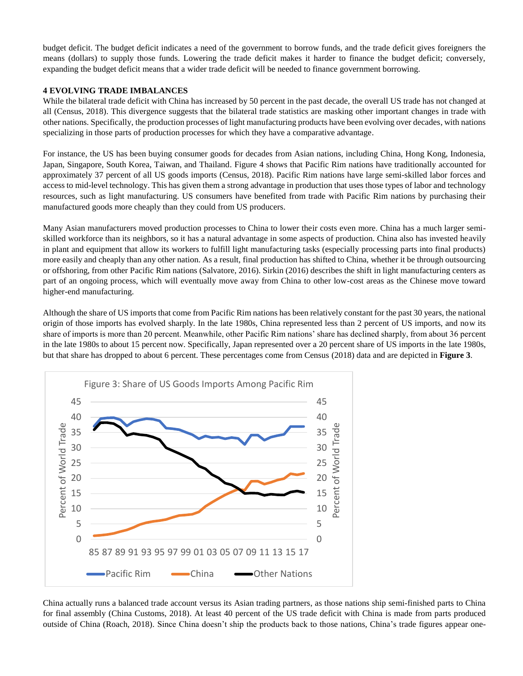budget deficit. The budget deficit indicates a need of the government to borrow funds, and the trade deficit gives foreigners the means (dollars) to supply those funds. Lowering the trade deficit makes it harder to finance the budget deficit; conversely, expanding the budget deficit means that a wider trade deficit will be needed to finance government borrowing.

### **4 EVOLVING TRADE IMBALANCES**

While the bilateral trade deficit with China has increased by 50 percent in the past decade, the overall US trade has not changed at all (Census, 2018). This divergence suggests that the bilateral trade statistics are masking other important changes in trade with other nations. Specifically, the production processes of light manufacturing products have been evolving over decades, with nations specializing in those parts of production processes for which they have a comparative advantage.

For instance, the US has been buying consumer goods for decades from Asian nations, including China, Hong Kong, Indonesia, Japan, Singapore, South Korea, Taiwan, and Thailand. Figure 4 shows that Pacific Rim nations have traditionally accounted for approximately 37 percent of all US goods imports (Census, 2018). Pacific Rim nations have large semi-skilled labor forces and access to mid-level technology. This has given them a strong advantage in production that uses those types of labor and technology resources, such as light manufacturing. US consumers have benefited from trade with Pacific Rim nations by purchasing their manufactured goods more cheaply than they could from US producers.

Many Asian manufacturers moved production processes to China to lower their costs even more. China has a much larger semiskilled workforce than its neighbors, so it has a natural advantage in some aspects of production. China also has invested heavily in plant and equipment that allow its workers to fulfill light manufacturing tasks (especially processing parts into final products) more easily and cheaply than any other nation. As a result, final production has shifted to China, whether it be through outsourcing or offshoring, from other Pacific Rim nations (Salvatore, 2016). Sirkin (2016) describes the shift in light manufacturing centers as part of an ongoing process, which will eventually move away from China to other low-cost areas as the Chinese move toward higher-end manufacturing.

Although the share of US imports that come from Pacific Rim nations has been relatively constant for the past 30 years, the national origin of those imports has evolved sharply. In the late 1980s, China represented less than 2 percent of US imports, and now its share of imports is more than 20 percent. Meanwhile, other Pacific Rim nations' share has declined sharply, from about 36 percent in the late 1980s to about 15 percent now. Specifically, Japan represented over a 20 percent share of US imports in the late 1980s, but that share has dropped to about 6 percent. These percentages come from Census (2018) data and are depicted in **Figure 3**.



China actually runs a balanced trade account versus its Asian trading partners, as those nations ship semi-finished parts to China for final assembly (China Customs, 2018). At least 40 percent of the US trade deficit with China is made from parts produced outside of China (Roach, 2018). Since China doesn't ship the products back to those nations, China's trade figures appear one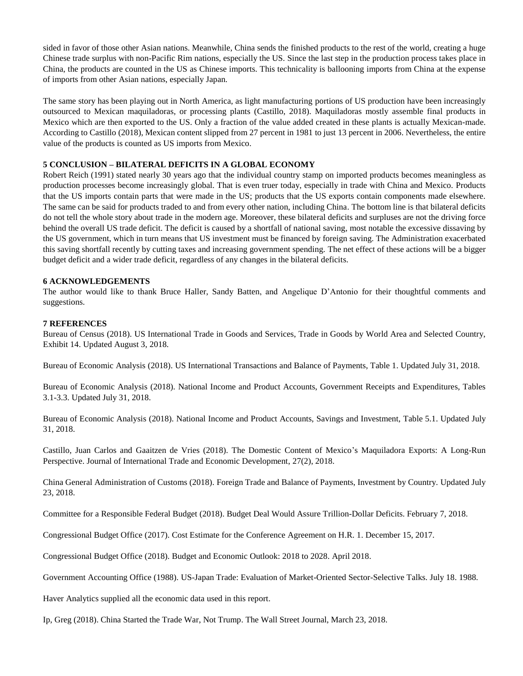sided in favor of those other Asian nations. Meanwhile, China sends the finished products to the rest of the world, creating a huge Chinese trade surplus with non-Pacific Rim nations, especially the US. Since the last step in the production process takes place in China, the products are counted in the US as Chinese imports. This technicality is ballooning imports from China at the expense of imports from other Asian nations, especially Japan.

The same story has been playing out in North America, as light manufacturing portions of US production have been increasingly outsourced to Mexican maquiladoras, or processing plants (Castillo, 2018). Maquiladoras mostly assemble final products in Mexico which are then exported to the US. Only a fraction of the value added created in these plants is actually Mexican-made. According to Castillo (2018), Mexican content slipped from 27 percent in 1981 to just 13 percent in 2006. Nevertheless, the entire value of the products is counted as US imports from Mexico.

### **5 CONCLUSION – BILATERAL DEFICITS IN A GLOBAL ECONOMY**

Robert Reich (1991) stated nearly 30 years ago that the individual country stamp on imported products becomes meaningless as production processes become increasingly global. That is even truer today, especially in trade with China and Mexico. Products that the US imports contain parts that were made in the US; products that the US exports contain components made elsewhere. The same can be said for products traded to and from every other nation, including China. The bottom line is that bilateral deficits do not tell the whole story about trade in the modern age. Moreover, these bilateral deficits and surpluses are not the driving force behind the overall US trade deficit. The deficit is caused by a shortfall of national saving, most notable the excessive dissaving by the US government, which in turn means that US investment must be financed by foreign saving. The Administration exacerbated this saving shortfall recently by cutting taxes and increasing government spending. The net effect of these actions will be a bigger budget deficit and a wider trade deficit, regardless of any changes in the bilateral deficits.

#### **6 ACKNOWLEDGEMENTS**

The author would like to thank Bruce Haller, Sandy Batten, and Angelique D'Antonio for their thoughtful comments and suggestions.

#### **7 REFERENCES**

Bureau of Census (2018). US International Trade in Goods and Services, Trade in Goods by World Area and Selected Country, Exhibit 14. Updated August 3, 2018.

Bureau of Economic Analysis (2018). US International Transactions and Balance of Payments, Table 1. Updated July 31, 2018.

Bureau of Economic Analysis (2018). National Income and Product Accounts, Government Receipts and Expenditures, Tables 3.1-3.3. Updated July 31, 2018.

Bureau of Economic Analysis (2018). National Income and Product Accounts, Savings and Investment, Table 5.1. Updated July 31, 2018.

Castillo, Juan Carlos and Gaaitzen de Vries (2018). The Domestic Content of Mexico's Maquiladora Exports: A Long-Run Perspective. Journal of International Trade and Economic Development, 27(2), 2018.

China General Administration of Customs (2018). Foreign Trade and Balance of Payments, Investment by Country. Updated July 23, 2018.

Committee for a Responsible Federal Budget (2018). Budget Deal Would Assure Trillion-Dollar Deficits. February 7, 2018.

Congressional Budget Office (2017). Cost Estimate for the Conference Agreement on H.R. 1. December 15, 2017.

Congressional Budget Office (2018). Budget and Economic Outlook: 2018 to 2028. April 2018.

Government Accounting Office (1988). US-Japan Trade: Evaluation of Market-Oriented Sector-Selective Talks. July 18. 1988.

Haver Analytics supplied all the economic data used in this report.

Ip, Greg (2018). China Started the Trade War, Not Trump. The Wall Street Journal, March 23, 2018.